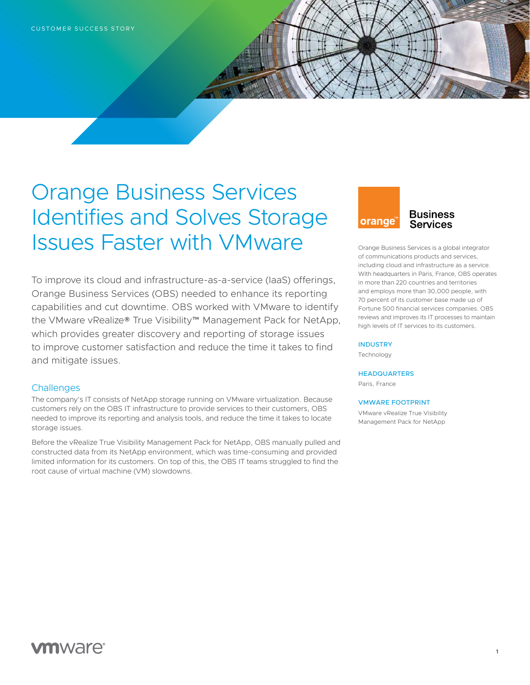## Orange Business Services Identifies and Solves Storage Issues Faster with VMware

To improve its cloud and infrastructure-as-a-service (IaaS) offerings, Orange Business Services (OBS) needed to enhance its reporting capabilities and cut downtime. OBS worked with VMware to identify the VMware vRealize® True Visibility™ Management Pack for NetApp, which provides greater discovery and reporting of storage issues to improve customer satisfaction and reduce the time it takes to find and mitigate issues.

### **Challenges**

The company's IT consists of NetApp storage running on VMware virtualization. Because customers rely on the OBS IT infrastructure to provide services to their customers, OBS needed to improve its reporting and analysis tools, and reduce the time it takes to locate storage issues.

Before the vRealize True Visibility Management Pack for NetApp, OBS manually pulled and constructed data from its NetApp environment, which was time-consuming and provided limited information for its customers. On top of this, the OBS IT teams struggled to find the root cause of virtual machine (VM) slowdowns.

# **orange**

## **Business Services**

Orange Business Services is a global integrator of communications products and services, including cloud and infrastructure as a service. With headquarters in Paris, France, OBS operates in more than 220 countries and territories and employs more than 30,000 people, with 70 percent of its customer base made up of Fortune 500 financial services companies. OBS reviews and improves its IT processes to maintain high levels of IT services to its customers.

#### **INDUSTRY**

Technology

#### **HEADQUARTERS**

Paris, France

#### VMWARE FOOTPRINT

VMware vRealize True Visibility Management Pack for NetApp